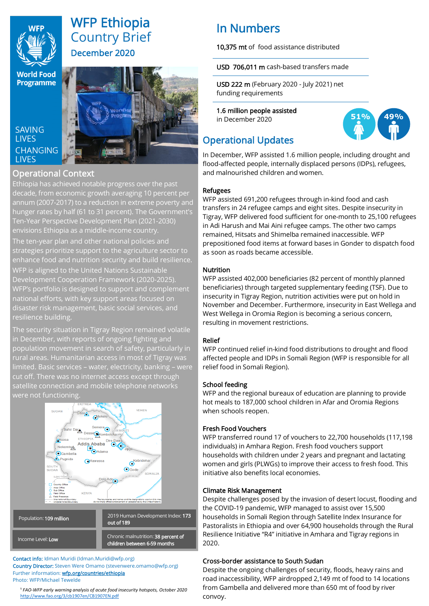

# WFP Ethiopia Country Brief December 2020

**Programme** 

## **SAVING LIVES CHANGING LIVES**



## Operational Context

Ethiopia has achieved notable progress over the past decade, from economic growth averaging 10 percent per annum (2007-2017) to a reduction in extreme poverty and hunger rates by half (61 to 31 percent). The Government's Ten-Year Perspective Development Plan (2021-2030) envisions Ethiopia as a middle-income country. The ten-year plan and other national policies and strategies prioritize support to the agriculture sector to enhance food and nutrition security and build resilience. WFP is aligned to the United Nations Sustainable Development Cooperation Framework (2020-2025). WFP's portfolio is designed to support and complement national efforts, with key support areas focused on disaster risk management, basic social services, and resilience building.

The security situation in Tigray Region remained volatile in December, with reports of ongoing fighting and population movement in search of safety, particularly in rural areas. Humanitarian access in most of Tigray was limited. Basic services – water, electricity, banking – were cut off. There was no internet access except through satellite connection and mobile telephone networks were not functioning.



Contact info: Idman Muridi (Idman.Muridi@wfp.org) Country Director: Steven Were Omamo (stevenwere.omamo@wfp.org) Further information: wfp.org/countries/ethiopia Photo: WFP/Michael Tewelde

<sup>1</sup> FAO-WFP early warning analysis of acute food insecurity hotspots, October 2020 <http://www.fao.org/3/cb1907en/CB1907EN.pdf>

# In Numbers

10,375 mt of food assistance distributed

### USD 706**,**011 m cash-based transfers made

USD 222 m (February 2020 - July 2021) net funding requirements

1.6 million people assisted in December 2020



## Operational Updates

In December, WFP assisted 1.6 million people, including drought and flood-affected people, internally displaced persons (IDPs), refugees, and malnourished children and women.

### Refugees

WFP assisted 691,200 refugees through in-kind food and cash transfers in 24 refugee camps and eight sites. Despite insecurity in Tigray, WFP delivered food sufficient for one-month to 25,100 refugees in Adi Harush and Mai Aini refugee camps. The other two camps remained, Hitsats and Shimelba remained inaccessible. WFP prepositioned food items at forward bases in Gonder to dispatch food as soon as roads became accessible.

## Nutrition

WFP assisted 402,000 beneficiaries (82 percent of monthly planned beneficiaries) through targeted supplementary feeding (TSF). Due to insecurity in Tigray Region, nutrition activities were put on hold in November and December. Furthermore, insecurity in East Wellega and West Wellega in Oromia Region is becoming a serious concern, resulting in movement restrictions.

## Relief

WFP continued relief in-kind food distributions to drought and flood affected people and IDPs in Somali Region (WFP is responsible for all relief food in Somali Region).

## School feeding

WFP and the regional bureaux of education are planning to provide hot meals to 187,000 school children in Afar and Oromia Regions when schools reopen.

## Fresh Food Vouchers

WFP transferred round 17 of vouchers to 22,700 households (117,198 individuals) in Amhara Region. Fresh food vouchers support households with children under 2 years and pregnant and lactating women and girls (PLWGs) to improve their access to fresh food. This initiative also benefits local economies.

## Climate Risk Management

Despite challenges posed by the invasion of desert locust, flooding and the COVID-19 pandemic, WFP managed to assist over 15,500 households in Somali Region through Satellite Index Insurance for Pastoralists in Ethiopia and over 64,900 households through the Rural Resilience Initiative "R4" initiative in Amhara and Tigray regions in 2020.

## Cross-border assistance to South Sudan

Despite the ongoing challenges of security, floods, heavy rains and road inaccessibility, WFP airdropped 2,149 mt of food to 14 locations from Gambella and delivered more than 650 mt of food by river convoy.